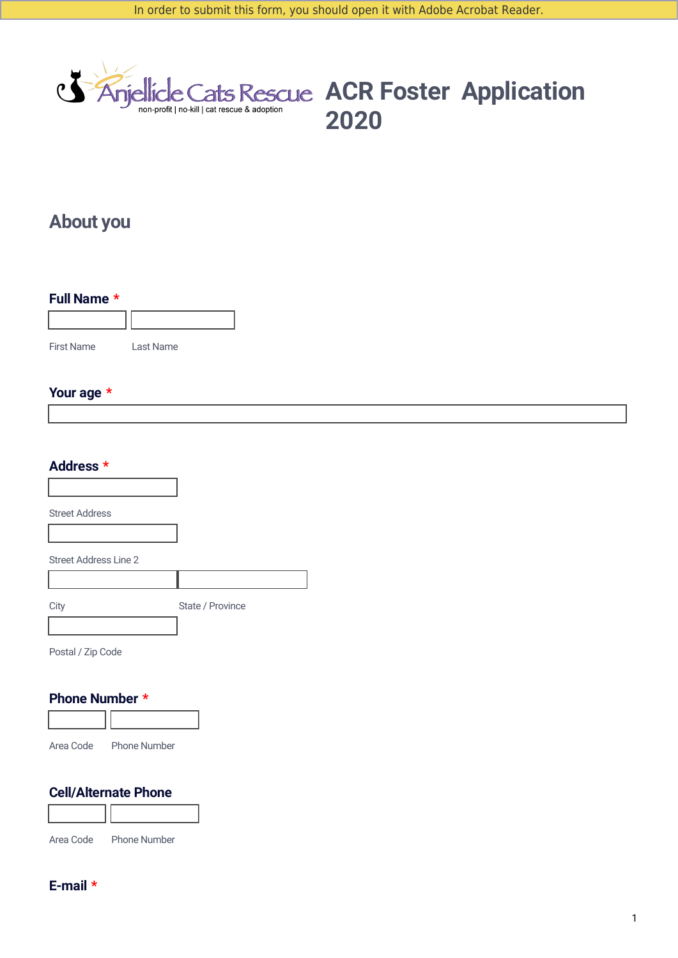

**ACR Foster Application**<br> **ACR Foster Application 2020**

# **About you**

| Full Name * |           |  |
|-------------|-----------|--|
|             |           |  |
| First Name  | Last Name |  |

## **Your age \***

| Address *                    |                  |
|------------------------------|------------------|
|                              |                  |
| <b>Street Address</b>        |                  |
|                              |                  |
| <b>Street Address Line 2</b> |                  |
|                              |                  |
| City                         | State / Province |
|                              |                  |
| Postal / Zip Code            |                  |

### **Phone Number \***



Area Code Phone Number

## **Cell/Alternate Phone**



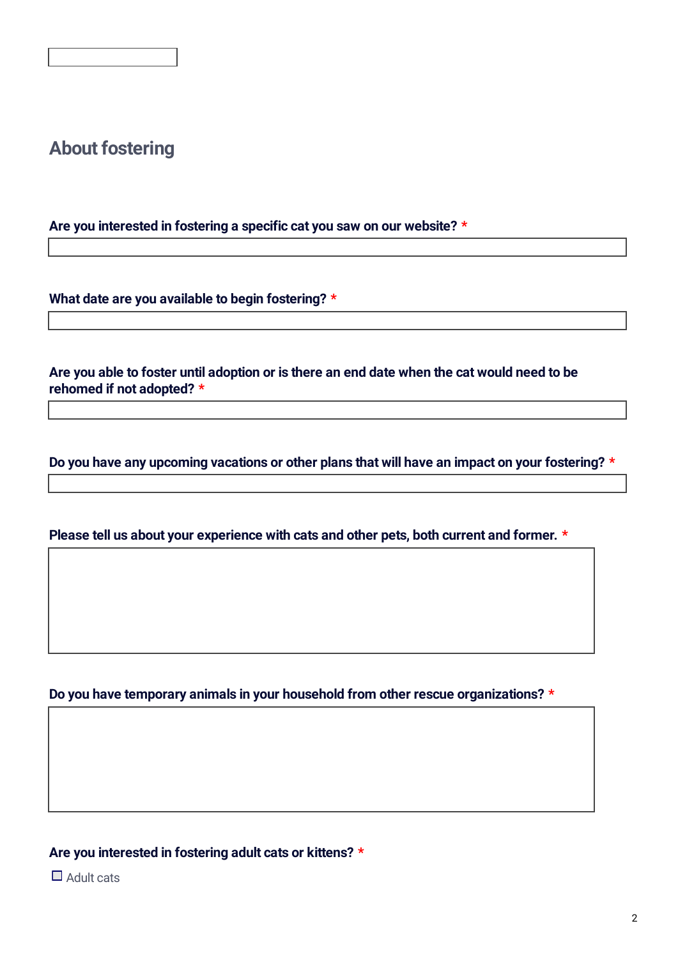# **About fostering**

**Are you interested in fostering a specific cat you saw on our website? \***

**What date are you available to begin fostering? \***

Are you able to foster until adoption or is there an end date when the cat would need to be **rehomed if not adopted? \***

**Do you have any upcoming vacations or other plans that will have an impact on your fostering? \***

**Please tell us about your experience with cats and other pets, both current and former. \***

**Do you have temporary animals in your household from other rescue organizations? \***

**Are you interested in fostering adult cats or kittens? \***

 $\Box$  Adult cats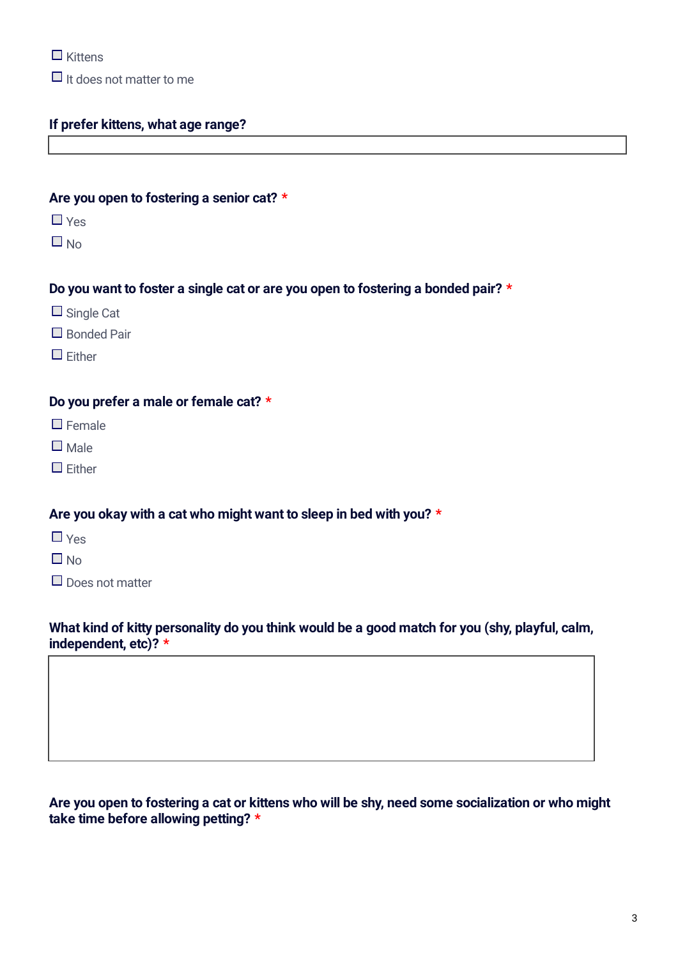$\Box$  Kittens

 $\Box$  It does not matter to me

## **If prefer kittens, what age range?**

#### **Are you open to fostering a senior cat? \***

- $\Box$  Yes
- $\Box$  No

#### **Do you want to foster a single cat or are you open to fostering a bonded pair? \***

- $\Box$  Single Cat
- $\Box$  Bonded Pair
- $\Box$  Fither

#### **Do you prefer a male or female cat? \***

- $\Box$  Female
- $\square$  Male
- $\Box$  Fither

#### **Are you okay with a cat who might want to sleep in bed with you? \***

- $\Box$  Yes
- $\Box$  No
- $\Box$  Does not matter

## **What kind of kitty personality do you think would be a good match for you (shy, playful, calm, independent, etc)? \***

Are you open to fostering a cat or kittens who will be shy, need some socialization or who might **take time before allowing petting? \***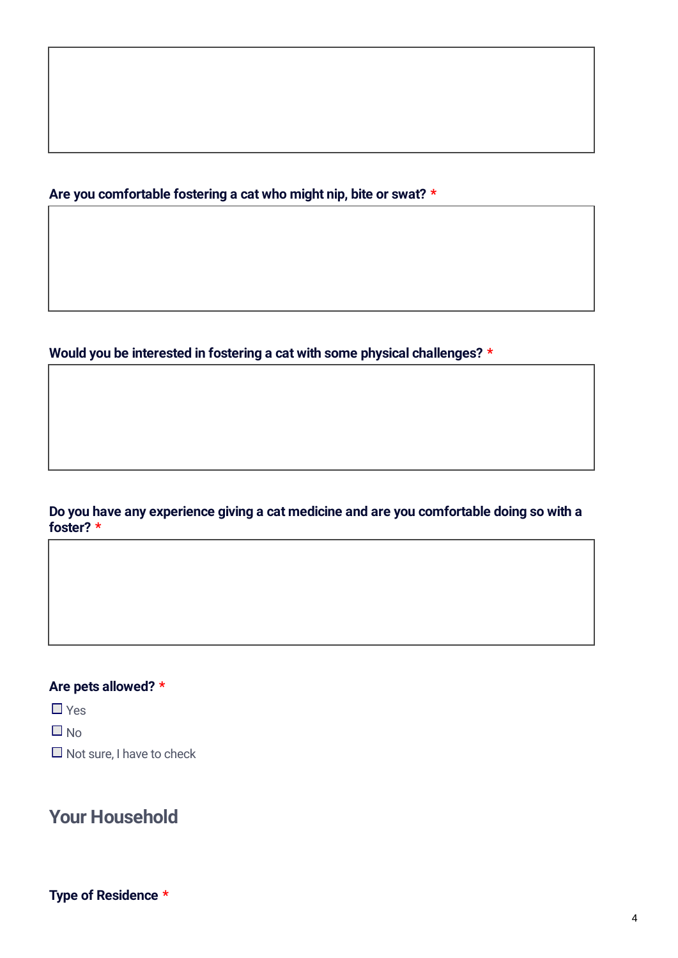**Are you comfortable fostering a cat who might nip, bite or swat? \***

**Would you be interested in fostering a cat with some physical challenges? \***

## **Do you have any experience giving a cat medicine and are you comfortable doing so with a foster? \***

## **Are pets allowed? \***

 $\Box$  Yes

 $\Box$  No

 $\Box$  Not sure, I have to check

## **Your Household**

**Type of Residence \***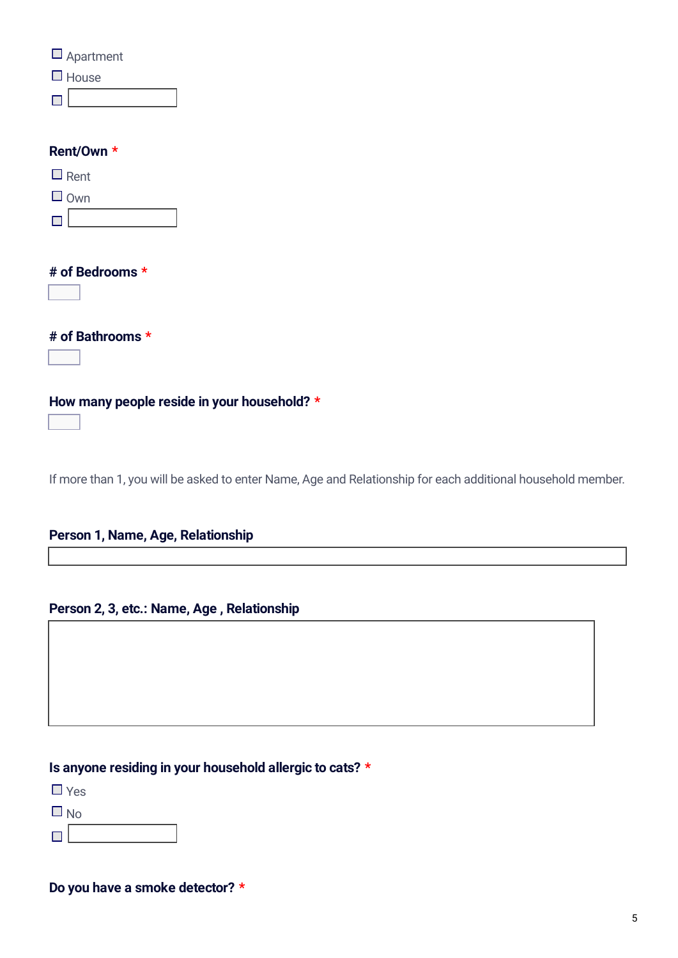| $\Box$ Apartment<br>$\Box$ House                                                                            |
|-------------------------------------------------------------------------------------------------------------|
| Rent/Own *                                                                                                  |
| $\Box$ Rent                                                                                                 |
| $\Box$ Own                                                                                                  |
|                                                                                                             |
| # of Bedrooms *<br>$\vert \textbf{-} \vert$                                                                 |
| # of Bathrooms *<br>$\blacktriangleright$                                                                   |
| How many people reside in your household? *<br>$\Box$                                                       |
| If more than 1, you will be asked to enter Name, Age and Relationship for each additional household member. |

## **Person 1, Name, Age, Relationship**

## **Person 2, 3, etc.: Name, Age , Relationship**

## **Is anyone residing in your household allergic to cats? \***

 $\Box$  Yes

 $\Box$  No

 $\Box$ 

## **Do you have a smoke detector? \***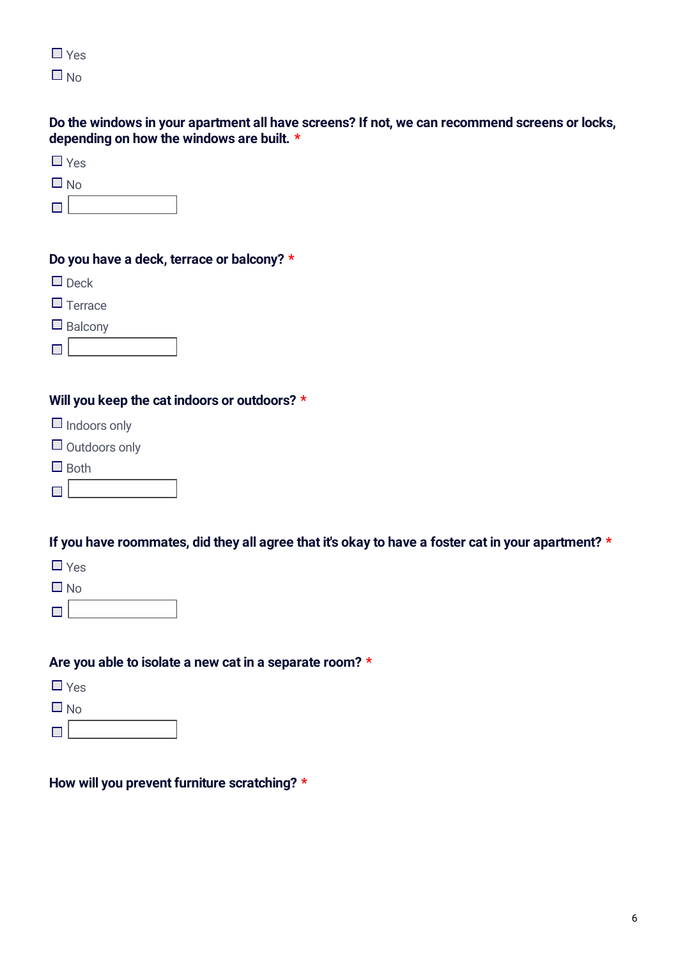| L.  | v |
|-----|---|
| l d |   |

## **Do the windows in your apartment all have screens? If not, we can recommend screens or locks, depending on how the windows are built. \***

| u<br>w<br>۰,<br>v |
|-------------------|
|-------------------|

## **Do you have a deck, terrace or balcony? \***

- $\Box$  Deck
- $\Box$  Terrace
- $\Box$  Balcony

## **Will you keep the cat indoors or outdoors? \***

- $\Box$  Indoors only
- $\Box$  Outdoors only
- $\Box$  Both
- $\Box$

## If you have roommates, did they all agree that it's okay to have a foster cat in your apartment? \*

- $\Box$  Yes
- $\Box$  No
- $\overline{\phantom{a}}$

## **Are you able to isolate a new cat in a separate room? \***

- $\Box$  Yes
- 
- $\begin{array}{c}\n\Box\n\ \mathsf{No} \\
\hline\n\end{array}$

## **How will you prevent furniture scratching? \***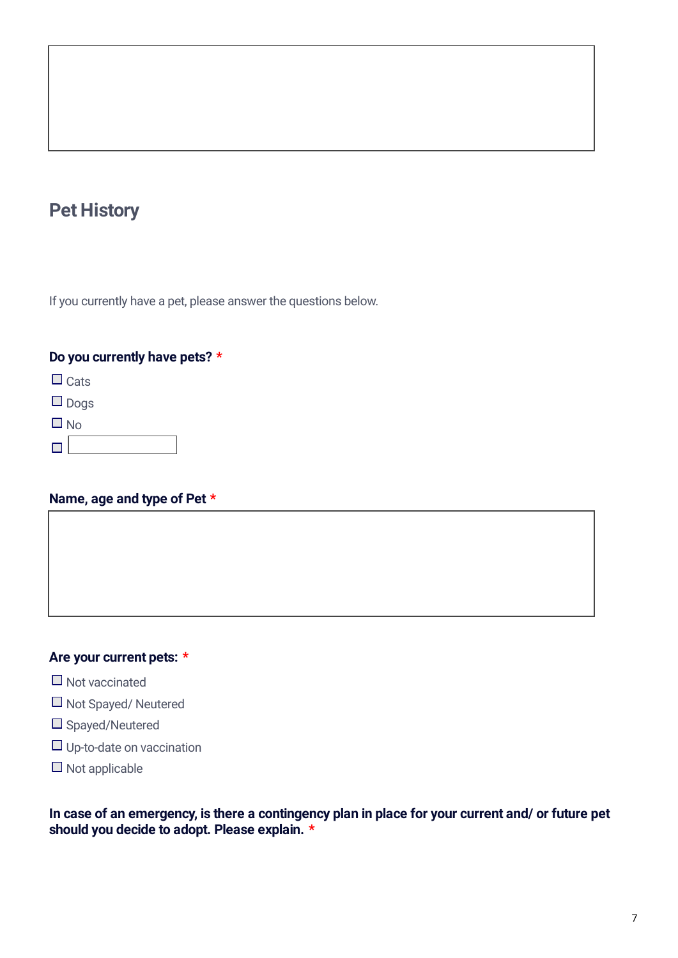# **Pet History**

If you currently have a pet, please answer the questions below.

## **Do you currently have pets? \***

 $\Box$  Cats

□ <sub>Dogs</sub>

 $\Box$  No

 $\blacksquare$ 

### **Name, age and type of Pet \***

## **Are your current pets: \***

- $\Box$  Not vaccinated
- □ Not Spayed/ Neutered
- □ Spayed/Neutered
- Up-to-date on vaccination
- $\Box$  Not applicable

In case of an emergency, is there a contingency plan in place for your current and/ or future pet **should you decide to adopt. Please explain. \***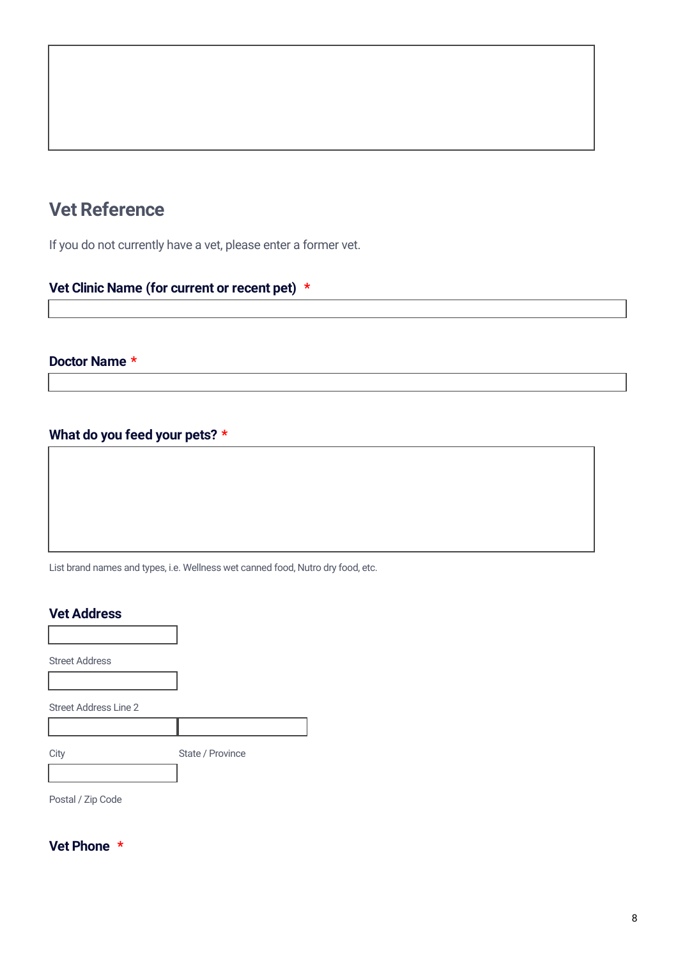# **Vet Reference**

If you do not currently have a vet, please enter a former vet.

## **Vet Clinic Name (for current or recent pet) \***

### **Doctor Name \***

## **What do you feed your pets? \***

List brand names and types, i.e. Wellness wet canned food, Nutro dry food, etc.

#### **Vet Address**

Street Address Street Address Line 2 City State / Province Postal / Zip Code

**Vet Phone \***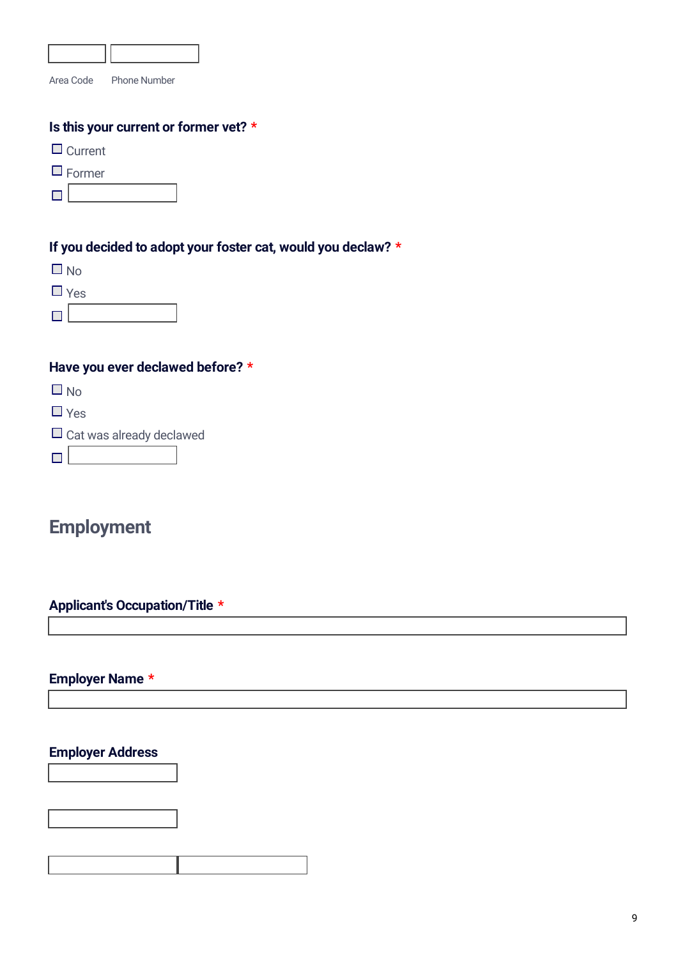| Area Code<br><b>Phone Number</b>                             |
|--------------------------------------------------------------|
| Is this your current or former vet? *                        |
| $\Box$ Current                                               |
| Former                                                       |
|                                                              |
|                                                              |
| If you decided to adopt your foster cat, would you declaw? * |
| $\square$ No                                                 |
| $\Box$ Yes                                                   |
|                                                              |
|                                                              |
| Have you ever declawed before? *                             |
| $\square$ No                                                 |
| $\square$ Yes                                                |
| $\Box$ Cat was already declawed                              |
|                                                              |
|                                                              |
|                                                              |
| <b>Employment</b>                                            |

## **Applicant's Occupation/Title \***

## **Employer Name \***

## **Employer Address**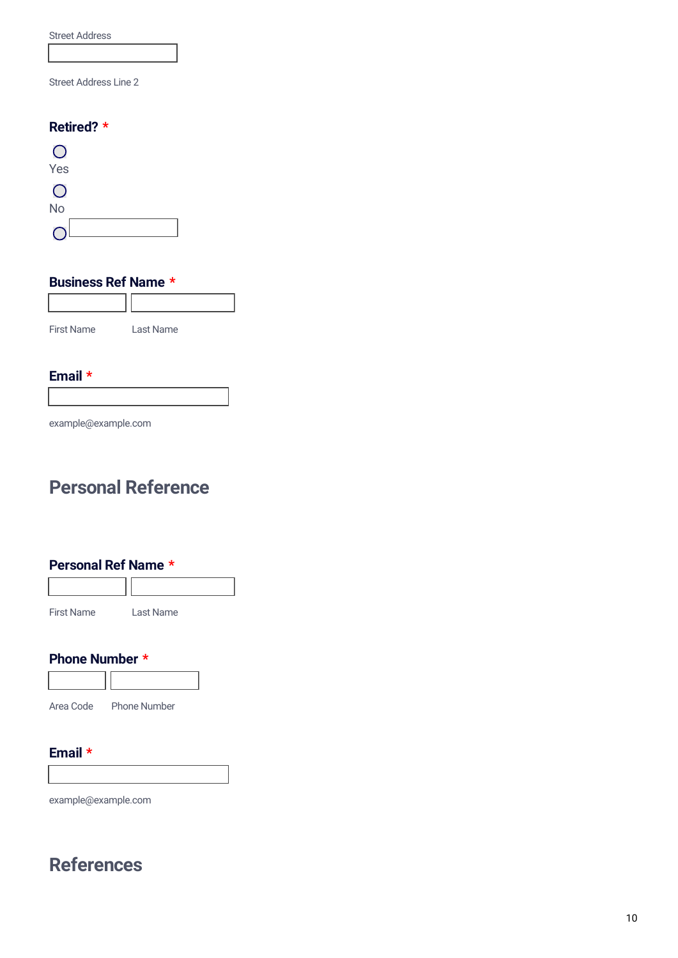Street Address

Street Address Line 2

#### **Retired? \***



### **Business Ref Name \***



#### **Email \***

example@example.com

# **Personal Reference**

#### **Personal Ref Name \***



#### **Phone Number \***



#### **Email \***

example@example.com

# **References**